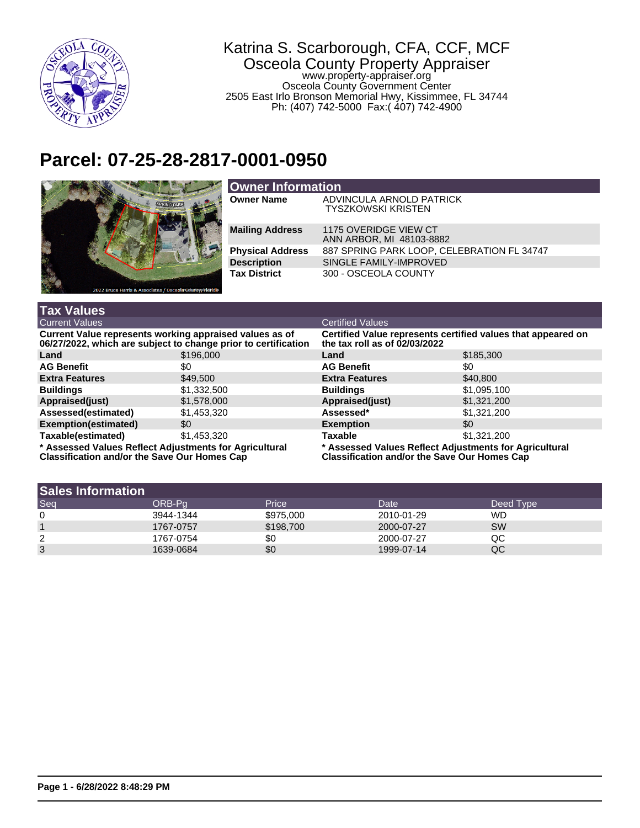

## Katrina S. Scarborough, CFA, CCF, MCF Osceola County Property Appraiser www.property-appraiser.org Osceola County Government Center 2505 East Irlo Bronson Memorial Hwy, Kissimmee, FL 34744 Ph: (407) 742-5000 Fax:( 407) 742-4900

## **Parcel: 07-25-28-2817-0001-0950**



| <b>Owner Information</b> |                                                       |  |  |  |
|--------------------------|-------------------------------------------------------|--|--|--|
| <b>Owner Name</b>        | ADVINCULA ARNOLD PATRICK<br><b>TYSZKOWSKI KRISTEN</b> |  |  |  |
| <b>Mailing Address</b>   | 1175 OVERIDGE VIEW CT<br>ANN ARBOR, MI 48103-8882     |  |  |  |
| <b>Physical Address</b>  | 887 SPRING PARK LOOP, CELEBRATION FL 34747            |  |  |  |
| <b>Description</b>       | SINGLE FAMILY-IMPROVED                                |  |  |  |
| <b>Tax District</b>      | 300 - OSCEOLA COUNTY                                  |  |  |  |

| <b>Tax Values</b>                                                                                                         |             |                                                                                                               |             |  |
|---------------------------------------------------------------------------------------------------------------------------|-------------|---------------------------------------------------------------------------------------------------------------|-------------|--|
| <b>Current Values</b>                                                                                                     |             | <b>Certified Values</b>                                                                                       |             |  |
| Current Value represents working appraised values as of<br>06/27/2022, which are subject to change prior to certification |             | Certified Value represents certified values that appeared on<br>the tax roll as of 02/03/2022                 |             |  |
| Land                                                                                                                      | \$196,000   | Land                                                                                                          | \$185,300   |  |
| <b>AG Benefit</b>                                                                                                         | \$0         | <b>AG Benefit</b>                                                                                             | \$0         |  |
| <b>Extra Features</b>                                                                                                     | \$49,500    | <b>Extra Features</b>                                                                                         | \$40,800    |  |
| <b>Buildings</b>                                                                                                          | \$1,332,500 | <b>Buildings</b>                                                                                              | \$1,095,100 |  |
| Appraised(just)                                                                                                           | \$1,578,000 | Appraised(just)                                                                                               | \$1,321,200 |  |
| Assessed(estimated)                                                                                                       | \$1,453,320 | Assessed*                                                                                                     | \$1,321,200 |  |
| Exemption(estimated)                                                                                                      | \$0         | <b>Exemption</b>                                                                                              | \$0         |  |
| Taxable(estimated)                                                                                                        | \$1,453,320 | Taxable                                                                                                       | \$1,321,200 |  |
| * Assessed Values Reflect Adjustments for Agricultural<br><b>Classification and/or the Save Our Homes Cap</b>             |             | * Assessed Values Reflect Adjustments for Agricultural<br><b>Classification and/or the Save Our Homes Cap</b> |             |  |

| <b>Sales Information</b> |           |           |            |           |
|--------------------------|-----------|-----------|------------|-----------|
| Seq                      | ORB-Pa    | Price     | Date       | Deed Type |
| 0                        | 3944-1344 | \$975,000 | 2010-01-29 | WD        |
|                          | 1767-0757 | \$198,700 | 2000-07-27 | <b>SW</b> |
| 2                        | 1767-0754 | \$0       | 2000-07-27 | QC        |
| 3                        | 1639-0684 | \$0       | 1999-07-14 | QC        |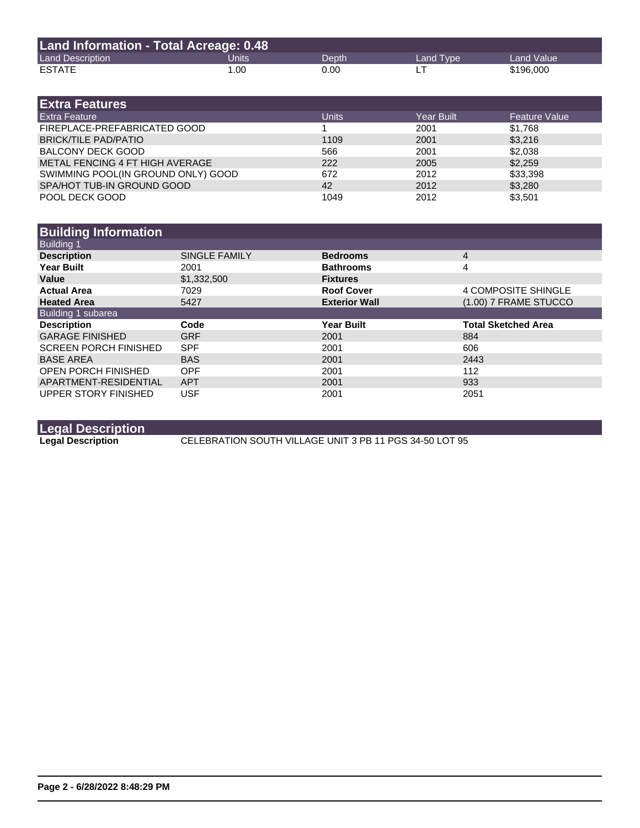| <b>Land Information - Total Acreage: 0.48</b> |                    |       |           |                   |
|-----------------------------------------------|--------------------|-------|-----------|-------------------|
| <b>Land Description</b>                       | Units <sup>1</sup> | Depth | Land Type | <b>Land Value</b> |
| <b>ESTATE</b>                                 | 1.00               | 0.00  |           | \$196,000         |

| <b>Extra Features</b>              |              |                   |                      |
|------------------------------------|--------------|-------------------|----------------------|
| <b>Extra Feature</b>               | <b>Units</b> | <b>Year Built</b> | <b>Feature Value</b> |
| FIREPLACE-PREFABRICATED GOOD       |              | 2001              | \$1.768              |
| <b>BRICK/TILE PAD/PATIO</b>        | 1109         | 2001              | \$3,216              |
| <b>BALCONY DECK GOOD</b>           | 566          | 2001              | \$2.038              |
| METAL FENCING 4 FT HIGH AVERAGE    | 222          | 2005              | \$2,259              |
| SWIMMING POOL(IN GROUND ONLY) GOOD | 672          | 2012              | \$33,398             |
| SPA/HOT TUB-IN GROUND GOOD         | 42           | 2012              | \$3,280              |
| POOL DECK GOOD                     | 1049         | 2012              | \$3,501              |

| <b>SINGLE FAMILY</b> | <b>Bedrooms</b>      | $\overline{4}$             |
|----------------------|----------------------|----------------------------|
| 2001                 | <b>Bathrooms</b>     | 4                          |
| \$1,332,500          | <b>Fixtures</b>      |                            |
| 7029                 | <b>Roof Cover</b>    | 4 COMPOSITE SHINGLE        |
| 5427                 | <b>Exterior Wall</b> | (1.00) 7 FRAME STUCCO      |
|                      |                      |                            |
| Code                 | <b>Year Built</b>    | <b>Total Sketched Area</b> |
| <b>GRF</b>           | 2001                 | 884                        |
| <b>SPF</b>           | 2001                 | 606                        |
| <b>BAS</b>           | 2001                 | 2443                       |
| <b>OPF</b>           | 2001                 | 112                        |
| <b>APT</b>           | 2001                 | 933                        |
| <b>USF</b>           | 2001                 | 2051                       |
|                      |                      |                            |

**Legal Description**

**CELEBRATION SOUTH VILLAGE UNIT 3 PB 11 PGS 34-50 LOT 95**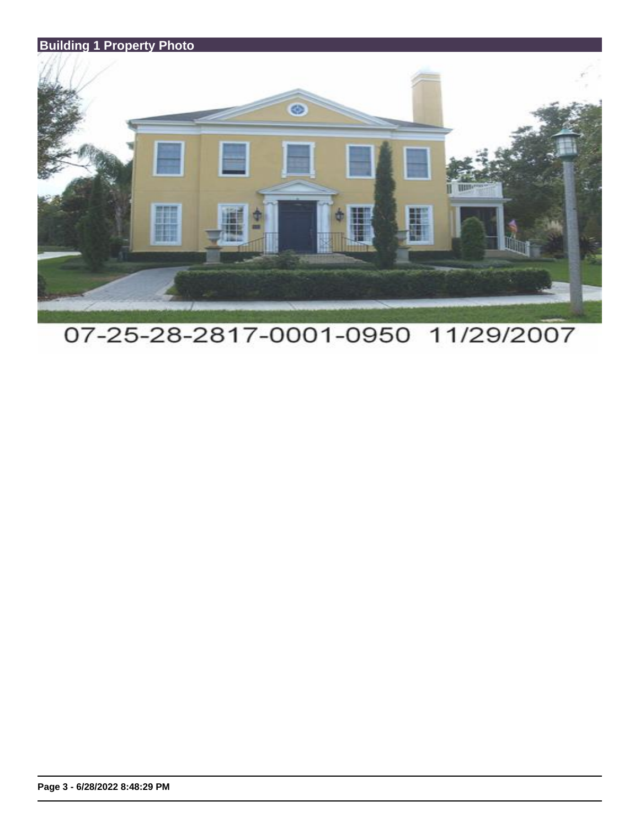

07-25-28-2817-0001-0950 11/29/2007